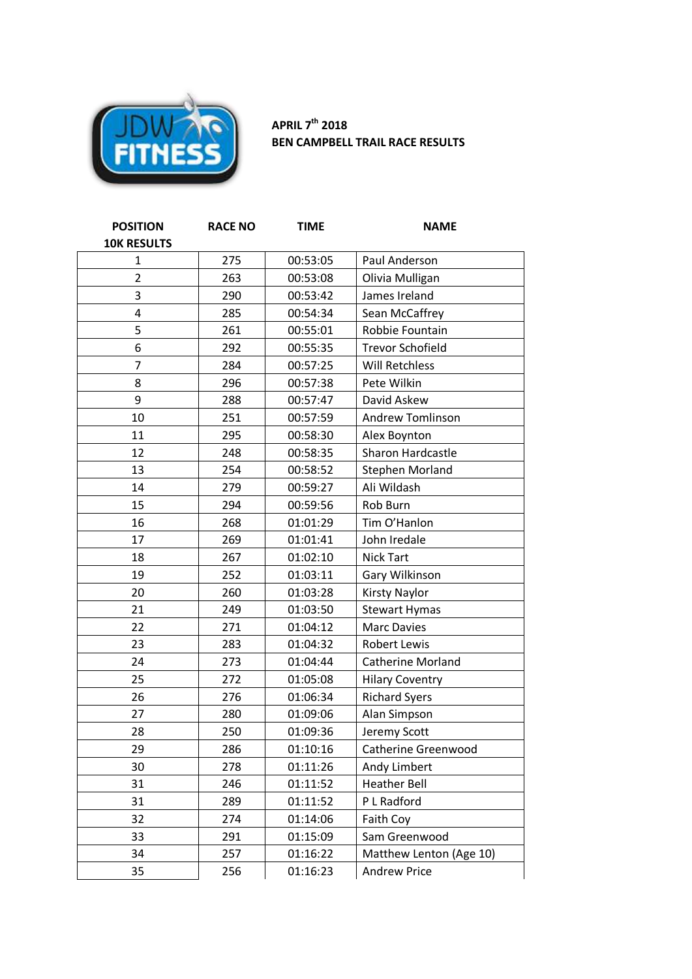

## **APRIL 7 th 2018 BEN CAMPBELL TRAIL RACE RESULTS**

| <b>POSITION</b>         | <b>RACE NO</b> | <b>TIME</b> | <b>NAME</b>             |
|-------------------------|----------------|-------------|-------------------------|
| <b>10K RESULTS</b>      |                |             |                         |
| $\mathbf{1}$            | 275            | 00:53:05    | Paul Anderson           |
| $\overline{2}$          | 263            | 00:53:08    | Olivia Mulligan         |
| 3                       | 290            | 00:53:42    | James Ireland           |
| $\overline{\mathbf{4}}$ | 285            | 00:54:34    | Sean McCaffrey          |
| 5                       | 261            | 00:55:01    | Robbie Fountain         |
| 6                       | 292            | 00:55:35    | <b>Trevor Schofield</b> |
| $\overline{7}$          | 284            | 00:57:25    | Will Retchless          |
| 8                       | 296            | 00:57:38    | Pete Wilkin             |
| 9                       | 288            | 00:57:47    | David Askew             |
| 10                      | 251            | 00:57:59    | <b>Andrew Tomlinson</b> |
| 11                      | 295            | 00:58:30    | Alex Boynton            |
| 12                      | 248            | 00:58:35    | Sharon Hardcastle       |
| 13                      | 254            | 00:58:52    | <b>Stephen Morland</b>  |
| 14                      | 279            | 00:59:27    | Ali Wildash             |
| 15                      | 294            | 00:59:56    | Rob Burn                |
| 16                      | 268            | 01:01:29    | Tim O'Hanlon            |
| 17                      | 269            | 01:01:41    | John Iredale            |
| 18                      | 267            | 01:02:10    | <b>Nick Tart</b>        |
| 19                      | 252            | 01:03:11    | Gary Wilkinson          |
| 20                      | 260            | 01:03:28    | <b>Kirsty Naylor</b>    |
| 21                      | 249            | 01:03:50    | <b>Stewart Hymas</b>    |
| 22                      | 271            | 01:04:12    | <b>Marc Davies</b>      |
| 23                      | 283            | 01:04:32    | <b>Robert Lewis</b>     |
| 24                      | 273            | 01:04:44    | Catherine Morland       |
| 25                      | 272            | 01:05:08    | <b>Hilary Coventry</b>  |
| 26                      | 276            | 01:06:34    | <b>Richard Syers</b>    |
| 27                      | 280            | 01:09:06    | Alan Simpson            |
| 28                      | 250            | 01:09:36    | Jeremy Scott            |
| 29                      | 286            | 01:10:16    | Catherine Greenwood     |
| 30                      | 278            | 01:11:26    | Andy Limbert            |
| 31                      | 246            | 01:11:52    | <b>Heather Bell</b>     |
| 31                      | 289            | 01:11:52    | P L Radford             |
| 32                      | 274            | 01:14:06    | Faith Coy               |
| 33                      | 291            | 01:15:09    | Sam Greenwood           |
| 34                      | 257            | 01:16:22    | Matthew Lenton (Age 10) |
| 35                      | 256            | 01:16:23    | <b>Andrew Price</b>     |
|                         |                |             |                         |